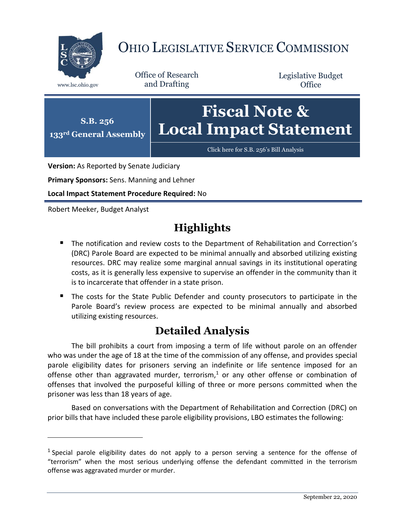

## OHIO LEGISLATIVE SERVICE COMMISSION

Office of Research www.lsc.ohio.gov and Drafting

Legislative Budget **Office** 



**Version:** As Reported by Senate Judiciary

**Primary Sponsors:** Sens. Manning and Lehner

**Local Impact Statement Procedure Required:** No

Robert Meeker, Budget Analyst

 $\overline{a}$ 

## **Highlights**

- **The notification and review costs to the Department of Rehabilitation and Correction's** (DRC) Parole Board are expected to be minimal annually and absorbed utilizing existing resources. DRC may realize some marginal annual savings in its institutional operating costs, as it is generally less expensive to supervise an offender in the community than it is to incarcerate that offender in a state prison.
- The costs for the State Public Defender and county prosecutors to participate in the Parole Board's review process are expected to be minimal annually and absorbed utilizing existing resources.

## **Detailed Analysis**

The bill prohibits a court from imposing a term of life without parole on an offender who was under the age of 18 at the time of the commission of any offense, and provides special parole eligibility dates for prisoners serving an indefinite or life sentence imposed for an offense other than aggravated murder, terrorism, <sup>1</sup> or any other offense or combination of offenses that involved the purposeful killing of three or more persons committed when the prisoner was less than 18 years of age.

Based on conversations with the Department of Rehabilitation and Correction (DRC) on prior bills that have included these parole eligibility provisions, LBO estimates the following:

<sup>&</sup>lt;sup>1</sup> Special parole eligibility dates do not apply to a person serving a sentence for the offense of "terrorism" when the most serious underlying offense the defendant committed in the terrorism offense was aggravated murder or murder.